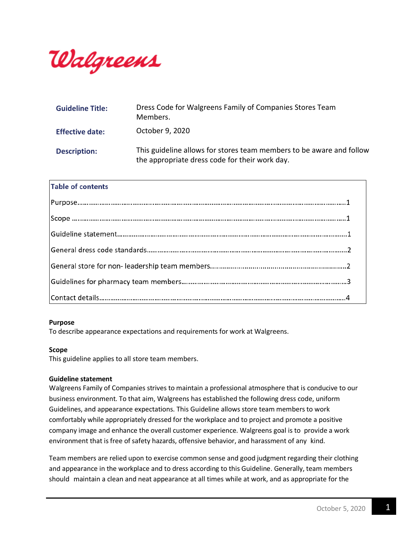

| <b>Guideline Title:</b> | Dress Code for Walgreens Family of Companies Stores Team<br>Members.                                                   |
|-------------------------|------------------------------------------------------------------------------------------------------------------------|
| <b>Effective date:</b>  | October 9, 2020                                                                                                        |
| <b>Description:</b>     | This guideline allows for stores team members to be aware and follow<br>the appropriate dress code for their work day. |

# **Table of contents**

#### **Purpose**

To describe appearance expectations and requirements for work at Walgreens.

#### **Scope**

This guideline applies to all store team members.

#### **Guideline statement**

Walgreens Family of Companies strives to maintain a professional atmosphere that is conducive to our business environment. To that aim, Walgreens has established the following dress code, uniform Guidelines, and appearance expectations. This Guideline allows store team members to work comfortably while appropriately dressed for the workplace and to project and promote a positive company image and enhance the overall customer experience. Walgreens goal is to provide a work environment that is free of safety hazards, offensive behavior, and harassment of any kind.

Team members are relied upon to exercise common sense and good judgment regarding their clothing and appearance in the workplace and to dress according to this Guideline. Generally, team members should maintain a clean and neat appearance at all times while at work, and as appropriate for the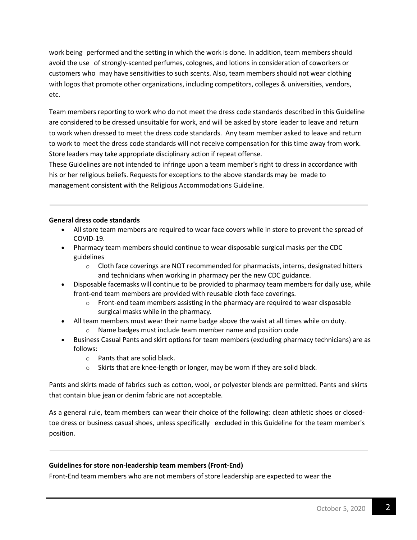work being performed and the setting in which the work is done. In addition, team members should avoid the use of strongly-scented perfumes, colognes, and lotions in consideration of coworkers or customers who may have sensitivities to such scents. Also, team members should not wear clothing with logos that promote other organizations, including competitors, colleges & universities, vendors, etc.

Team members reporting to work who do not meet the dress code standards described in this Guideline are considered to be dressed unsuitable for work, and will be asked by store leader to leave and return to work when dressed to meet the dress code standards. Any team member asked to leave and return to work to meet the dress code standards will not receive compensation for this time away from work. Store leaders may take appropriate disciplinary action if repeat offense.

These Guidelines are not intended to infringe upon a team member's right to dress in accordance with his or her religious beliefs. Requests for exceptions to the above standards may be made to management consistent with the Religious Accommodations Guideline.

# **General dress code standards**

- All store team members are required to wear face covers while in store to prevent the spread of COVID-19.
- Pharmacy team members should continue to wear disposable surgical masks per the CDC guidelines
	- $\circ$  Cloth face coverings are NOT recommended for pharmacists, interns, designated hitters and technicians when working in pharmacy per the new CDC guidance.
- Disposable facemasks will continue to be provided to pharmacy team members for daily use, while front-end team members are provided with reusable cloth face coverings.
	- $\circ$  Front-end team members assisting in the pharmacy are required to wear disposable surgical masks while in the pharmacy.
- All team members must wear their name badge above the waist at all times while on duty.
	- o Name badges must include team member name and position code
- Business Casual Pants and skirt options for team members (excluding pharmacy technicians) are as follows:
	- o Pants that are solid black.
	- o Skirts that are knee-length or longer, may be worn if they are solid black.

Pants and skirts made of fabrics such as cotton, wool, or polyester blends are permitted. Pants and skirts that contain blue jean or denim fabric are not acceptable.

As a general rule, team members can wear their choice of the following: clean athletic shoes or closedtoe dress or business casual shoes, unless specifically excluded in this Guideline for the team member's position.

# **Guidelines for store non-leadership team members (Front-End)**

Front-End team members who are not members of store leadership are expected to wear the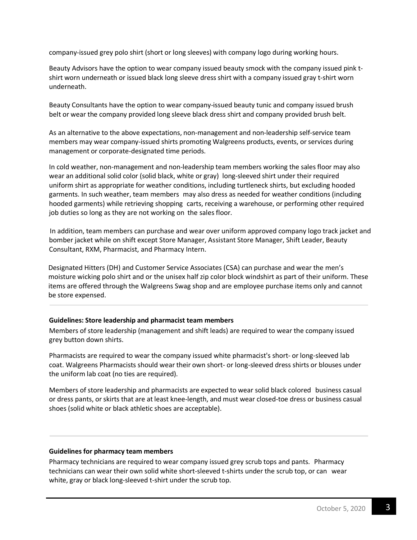company-issued grey polo shirt (short or long sleeves) with company logo during working hours.

Beauty Advisors have the option to wear company issued beauty smock with the company issued pink tshirt worn underneath or issued black long sleeve dress shirt with a company issued gray t-shirt worn underneath.

Beauty Consultants have the option to wear company-issued beauty tunic and company issued brush belt or wear the company provided long sleeve black dress shirt and company provided brush belt.

As an alternative to the above expectations, non-management and non-leadership self-service team members may wear company-issued shirts promoting Walgreens products, events, or services during management or corporate-designated time periods.

In cold weather, non-management and non-leadership team members working the sales floor may also wear an additional solid color (solid black, white or gray) long-sleeved shirt under their required uniform shirt as appropriate for weather conditions, including turtleneck shirts, but excluding hooded garments. In such weather, team members may also dress as needed for weather conditions (including hooded garments) while retrieving shopping carts, receiving a warehouse, or performing other required job duties so long as they are not working on the sales floor.

In addition, team members can purchase and wear over uniform approved company logo track jacket and bomber jacket while on shift except Store Manager, Assistant Store Manager, Shift Leader, Beauty Consultant, RXM, Pharmacist, and Pharmacy Intern.

Designated Hitters (DH) and Customer Service Associates (CSA) can purchase and wear the men's moisture wicking polo shirt and or the unisex half zip color block windshirt as part of their uniform. These items are offered through the Walgreens Swag shop and are employee purchase items only and cannot be store expensed.

# **Guidelines: Store leadership and pharmacist team members**

Members of store leadership (management and shift leads) are required to wear the company issued grey button down shirts.

Pharmacists are required to wear the company issued white pharmacist's short- or long-sleeved lab coat. Walgreens Pharmacists should wear their own short- or long-sleeved dress shirts or blouses under the uniform lab coat (no ties are required).

Members of store leadership and pharmacists are expected to wear solid black colored business casual or dress pants, orskirts that are at least knee-length, and must wear closed-toe dress or business casual shoes (solid white or black athletic shoes are acceptable).

# **Guidelines for pharmacy team members**

Pharmacy technicians are required to wear company issued grey scrub tops and pants. Pharmacy technicians can wear their own solid white short-sleeved t-shirts under the scrub top, or can wear white, gray or black long-sleeved t-shirt under the scrub top.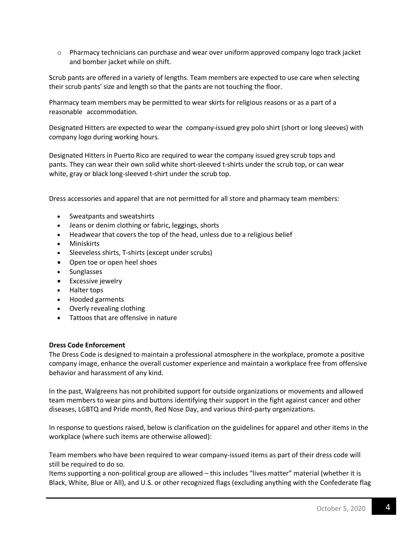o Pharmacy technicians can purchase and wear over uniform approved company logo track jacket and bomber jacket while on shift.

Scrub pants are offered in a variety of lengths. Team members are expected to use care when selecting their scrub pants' size and length so that the pants are not touching the floor.

Pharmacy team members may be permitted to wear skirts for religious reasons or as a part of a reasonable accommodation.

Designated Hitters are expected to wear the company-issued grey polo shirt (short or long sleeves) with company logo during working hours.

Designated Hitters in Puerto Rico are required to wear the company issued grey scrub tops and pants. They can wear their own solid white short-sleeved t-shirts under the scrub top, or can wear white, gray or black long-sleeved t-shirt under the scrub top.

Dress accessories and apparel that are not permitted for all store and pharmacy team members:

- Sweatpants and sweatshirts
- Jeans or denim clothing or fabric, leggings, shorts
- Headwear that covers the top of the head, unless due to a religious belief
- Miniskirts
- Sleeveless shirts, T-shirts (except under scrubs)
- Open toe or open heel shoes
- Sunglasses
- Excessive jewelry
- Halter tops
- Hooded garments
- Overly revealing clothing
- Tattoos that are offensive in nature

#### **Dress Code Enforcement**

The Dress Code is designed to maintain a professional atmosphere in the workplace, promote a positive company image, enhance the overall customer experience and maintain a workplace free from offensive behavior and harassment of any kind.

In the past, Walgreens has not prohibited support for outside organizations or movements and allowed team members to wear pins and buttons identifying their support in the fight against cancer and other diseases, LGBTQ and Pride month, Red Nose Day, and various third-party organizations.

In response to questions raised, below is clarification on the guidelines for apparel and other items in the workplace (where such items are otherwise allowed):

Team members who have been required to wear company-issued items as part of their dress code will still be required to do so.

Items supporting a non-political group are allowed – this includes "lives matter" material (whether it is Black, White, Blue or All), and U.S. or other recognized flags (excluding anything with the Confederate flag